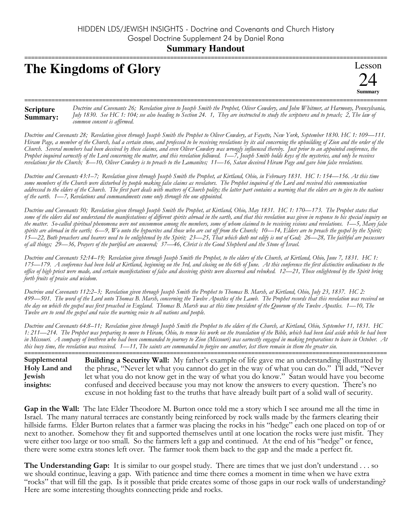## **The Kingdoms of Glory**



Doctrine and Covenants 26; Revelation given to Joseph Smith the Prophet, Oliver Cowdery, and John Whitmer, at Harmony, Pennsylvania, **Scripture** July 1830. See HC 1: 104; see also heading to Section 24. 1, They are instructed to study the scriptures and to preach; 2, The law of **Summary:** common consent is affirmed.

Doctrine and Covenants 28; Revelation given through Joseph Smith the Prophet to Oliver Cowdery, at Fayette, New York, September 1830. HC 1: 109-111. Hiram Page, a member of the Church, had a certain stone, and professed to be receiving revelations by its aid concerning the upbuilding of Zion and the order of the Church. Several members had been deceived by these claims, and even Oliver Cowdery was wrongly influenced thereby. Just prior to an appointed conference, the Prophet inquired earnestly of the Lord concerning the matter, and this revelation followed. 1—7, Joseph Smith holds keys of the mysteries, and only he receives revelations for the Church; 8—10, Oliver Cowdery is to preach to the Lamanites; 11—16, Satan deceived Hiram Page and gave him false revelations.

Doctrine and Covenants 43:1-7; Revelation given through Joseph Smith the Prophet, at Kirtland, Ohio, in February 1831. HC 1: 154-156. At this time some members of the Church were disturbed by people making false claims as revelators. The Prophet inquired of the Lord and received this communication addressed to the elders of the Church. The first part deals with matters of Church polity; the latter part contains a warning that the elders are to give to the nations of the earth. 1-7, Revelations and commandments come only through the one appointed.

Doctrine and Covenants 50; Revelation given through Joseph Smith the Prophet, at Kirtland, Ohio, May 1831. HC 1: 170-173. The Prophet states that some of the elders did not understand the manifestations of different spirits abroad in the earth, and that this revelation was given in response to his special inquiry on the matter. So-called spiritual phenomena were not uncommon among the members, some of whom claimed to be receiving visions and revelations. 1–5, Many false spirits are abroad in the earth; 6—9, Wo unto the hypocrites and those who are cut off from the Church; 10—14, Elders are to preach the gospel by the Spirit;<br>15—22, Both preachers and hearers need to be enlightened by the of all things; 29—36, Prayers of the purified are answered; 37—46, Christ is the Good Shepherd and the Stone of Israel.

Doctrine and Covenants 52:14–19; Revelation given through Joseph Smith the Prophet, to the elders of the Church, at Kirtland, Ohio, June 7, 1831. HC 1: 175—179. A conference had been held at Kirtland, beginning on the 3rd, and closing on the 6th of June. At this conference the first distinctive ordinations to the office of high priest were made, and certain manifestations of false and deceiving spirits were discerned and rebuked. 12–21, Those enlightened by the Spirit bring forth fruits of praise and wisdom.

Doctrine and Covenants 112:2-3; Revelation given through Joseph Smith the Prophet to Thomas B. Marsh, at Kirtland, Ohio, July 23, 1837. HC 2: 499-501. The word of the Lord unto Thomas B. Marsh, concerning the Twelve Apostles of the Lamb. The Prophet records that this revelation was received on the day on which the gospel was first preached in England. Thomas B. Marsh was at this time president of the Quorum of the Twelve Apostles. 1—10, The Twelve are to send the gospel and raise the warning voice to all nations and people.

Doctrine and Covenants 64:8-11; Revelation given through Joseph Smith the Prophet to the elders of the Church, at Kirtland, Ohio, September 11, 1831. HC 1: 211—214. The Prophet was preparing to move to Hiram, Ōhio, to renew his work on the translation of the Bible, which had been laid aside while he had been in Missouri. A company of brethren who bad been commanded to journey to Zion (Missouri) was earnestly engaged in making preparations to leave in October. At this busy time, the revelation was received. 1-11, The saints are commanded to forgive one another, lest there remain in them the greater sin.

Supplemental Building a Security Wall: My father's example of life gave me an understanding illustrated by Holy Land and the phrase, "Never let what you cannot do get in the way of what you can do." I'll add, "Never let what you do not know get in the way of what you do know." Satan would have you become Jewish insights: confused and deceived because you may not know the answers to every question. There's no excuse in not holding fast to the truths that have already built part of a solid wall of security.

**Gap in the Wall:** The late Elder Theodore M. Burton once told me a story which I see around me all the time in Israel. The many natural terraces are constantly being reinforced by rock walls made by the farmers clearing their hillside farms. Elder Burton relates that a farmer was placing the rocks in his "hedge" each one placed on top of or next to another. Somehow they fit and supported themselves until at one location the rocks were just misfit. They were either too large or too small. So the farmers left a gap and continued. At the end of his "hedge" or fence, there were some extra stones left over. The farmer took them back to the gap and the made a perfect fit.

**The Understanding Gap:** It is similar to our gospel study. There are times that we just don't understand . . . so we should continue, leaving a gap. With patience and time there comes a moment in time when we have extra "rocks" that will fill the gap. Is it possible that pride creates some of those gaps in our rock walls of understanding? Here are some interesting thoughts connecting pride and rocks.